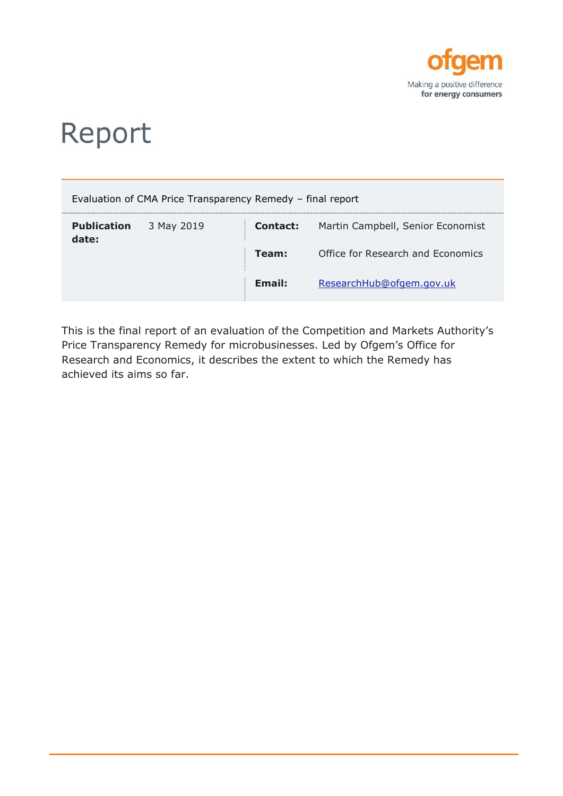

# Report

|                             | Evaluation of CMA Price Transparency Remedy - final report |          |                                   |
|-----------------------------|------------------------------------------------------------|----------|-----------------------------------|
| <b>Publication</b><br>date: | 3 May 2019                                                 | Contact: | Martin Campbell, Senior Economist |
|                             |                                                            | Team:    | Office for Research and Economics |
|                             |                                                            | Email:   | ResearchHub@ofgem.gov.uk          |

This is the final report of an evaluation of the Competition and Markets Authority's Price Transparency Remedy for microbusinesses. Led by Ofgem's Office for Research and Economics, it describes the extent to which the Remedy has achieved its aims so far.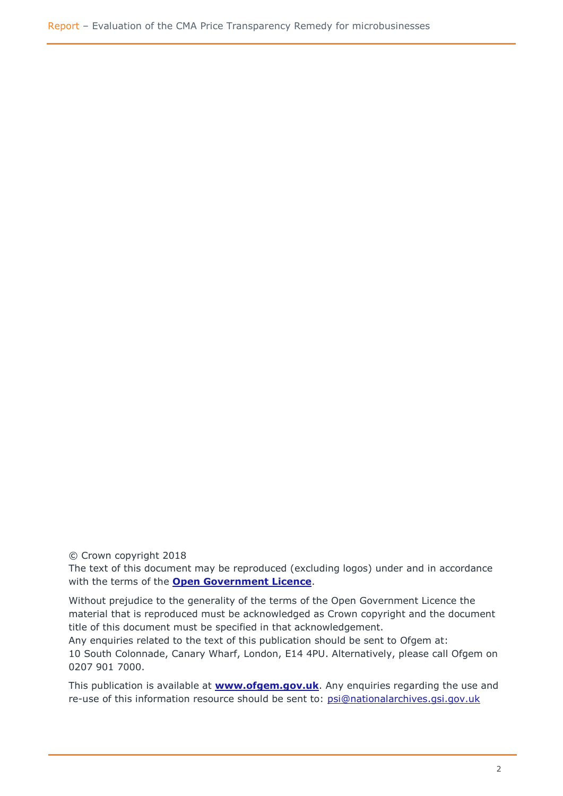© Crown copyright 2018

The text of this document may be reproduced (excluding logos) under and in accordance with the terms of the **[Open Government Licence](http://www.nationalarchives.gov.uk/information-management/re-using-public-sector-information/uk-government-licensing-framework/crown-copyright/)**.

Without prejudice to the generality of the terms of the Open Government Licence the material that is reproduced must be acknowledged as Crown copyright and the document title of this document must be specified in that acknowledgement.

Any enquiries related to the text of this publication should be sent to Ofgem at: 10 South Colonnade, Canary Wharf, London, E14 4PU. Alternatively, please call Ofgem on 0207 901 7000.

This publication is available at **[www.ofgem.gov.uk](http://www.ofgem.gov.uk/)**. Any enquiries regarding the use and re-use of this information resource should be sent to: [psi@nationalarchives.gsi.gov.uk](mailto:psi@nationalarchives.gsi.gov.uk)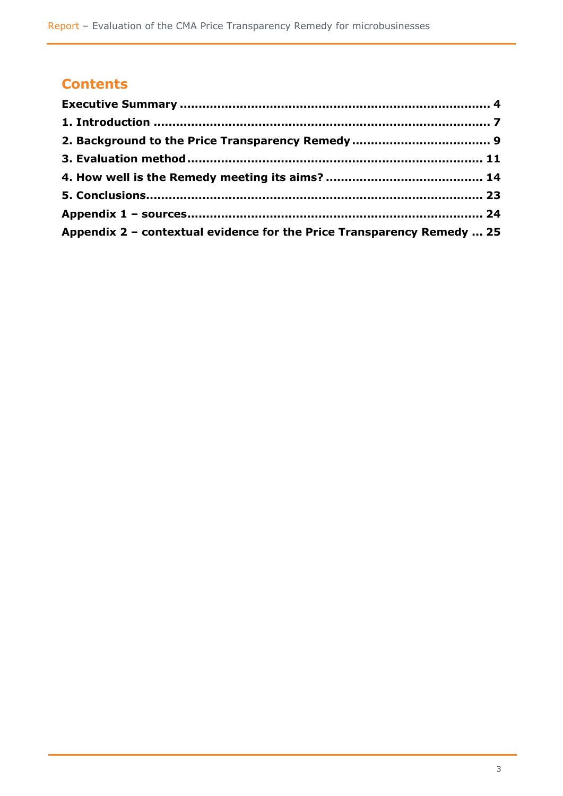# **Contents**

| Appendix 2 - contextual evidence for the Price Transparency Remedy  25 |  |
|------------------------------------------------------------------------|--|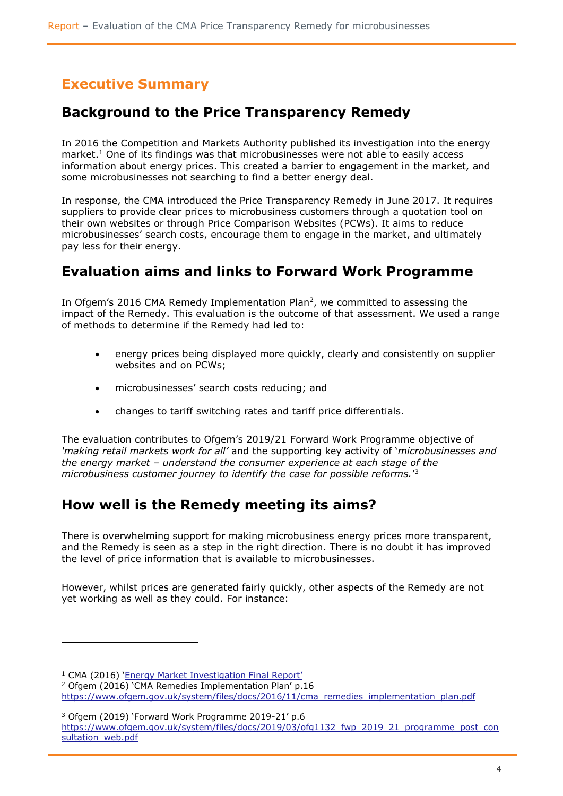# <span id="page-3-0"></span>**Executive Summary**

### **Background to the Price Transparency Remedy**

In 2016 the Competition and Markets Authority published its investigation into the energy market.<sup>1</sup> One of its findings was that microbusinesses were not able to easily access information about energy prices. This created a barrier to engagement in the market, and some microbusinesses not searching to find a better energy deal.

In response, the CMA introduced the Price Transparency Remedy in June 2017. It requires suppliers to provide clear prices to microbusiness customers through a quotation tool on their own websites or through Price Comparison Websites (PCWs). It aims to reduce microbusinesses' search costs, encourage them to engage in the market, and ultimately pay less for their energy.

### **Evaluation aims and links to Forward Work Programme**

In Ofgem's 2016 CMA Remedy Implementation Plan<sup>2</sup>, we committed to assessing the impact of the Remedy. This evaluation is the outcome of that assessment. We used a range of methods to determine if the Remedy had led to:

- energy prices being displayed more quickly, clearly and consistently on supplier websites and on PCWs;
- microbusinesses' search costs reducing; and
- changes to tariff switching rates and tariff price differentials.

The evaluation contributes to Ofgem's 2019/21 Forward Work Programme objective of *'making retail markets work for all'* and the supporting key activity of '*microbusinesses and the energy market – understand the consumer experience at each stage of the microbusiness customer journey to identify the case for possible reforms.*' 3

### **How well is the Remedy meeting its aims?**

There is overwhelming support for making microbusiness energy prices more transparent, and the Remedy is seen as a step in the right direction. There is no doubt it has improved the level of price information that is available to microbusinesses.

However, whilst prices are generated fairly quickly, other aspects of the Remedy are not yet working as well as they could. For instance:

l

<sup>1</sup> CMA (2016) ['Energy Market Investigation Final Report'](https://assets.publishing.service.gov.uk/media/5773de34e5274a0da3000113/final-report-energy-market-investigation.pdf)

<sup>2</sup> Ofgem (2016) 'CMA Remedies Implementation Plan' p.16

[https://www.ofgem.gov.uk/system/files/docs/2016/11/cma\\_remedies\\_implementation\\_plan.pdf](https://www.ofgem.gov.uk/system/files/docs/2016/11/cma_remedies_implementation_plan.pdf)

<sup>3</sup> Ofgem (2019) 'Forward Work Programme 2019-21' p.6 [https://www.ofgem.gov.uk/system/files/docs/2019/03/ofg1132\\_fwp\\_2019\\_21\\_programme\\_post\\_con](https://www.ofgem.gov.uk/system/files/docs/2019/03/ofg1132_fwp_2019_21_programme_post_consultation_web.pdf) sultation\_web.pdf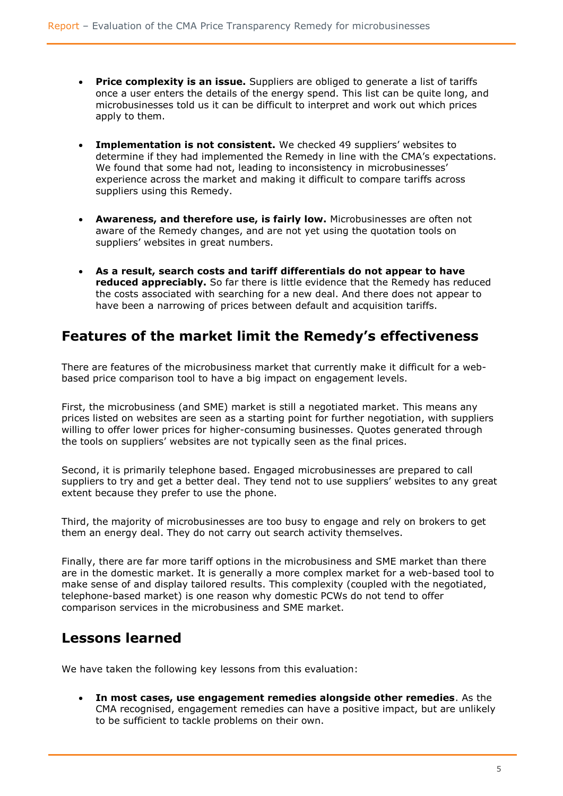- **Price complexity is an issue.** Suppliers are obliged to generate a list of tariffs once a user enters the details of the energy spend. This list can be quite long, and microbusinesses told us it can be difficult to interpret and work out which prices apply to them.
- **Implementation is not consistent.** We checked 49 suppliers' websites to determine if they had implemented the Remedy in line with the CMA's expectations. We found that some had not, leading to inconsistency in microbusinesses' experience across the market and making it difficult to compare tariffs across suppliers using this Remedy.
- **Awareness, and therefore use, is fairly low.** Microbusinesses are often not aware of the Remedy changes, and are not yet using the quotation tools on suppliers' websites in great numbers.
- **As a result, search costs and tariff differentials do not appear to have reduced appreciably.** So far there is little evidence that the Remedy has reduced the costs associated with searching for a new deal. And there does not appear to have been a narrowing of prices between default and acquisition tariffs.

### **Features of the market limit the Remedy's effectiveness**

There are features of the microbusiness market that currently make it difficult for a webbased price comparison tool to have a big impact on engagement levels.

First, the microbusiness (and SME) market is still a negotiated market. This means any prices listed on websites are seen as a starting point for further negotiation, with suppliers willing to offer lower prices for higher-consuming businesses. Quotes generated through the tools on suppliers' websites are not typically seen as the final prices.

Second, it is primarily telephone based. Engaged microbusinesses are prepared to call suppliers to try and get a better deal. They tend not to use suppliers' websites to any great extent because they prefer to use the phone.

Third, the majority of microbusinesses are too busy to engage and rely on brokers to get them an energy deal. They do not carry out search activity themselves.

Finally, there are far more tariff options in the microbusiness and SME market than there are in the domestic market. It is generally a more complex market for a web-based tool to make sense of and display tailored results. This complexity (coupled with the negotiated, telephone-based market) is one reason why domestic PCWs do not tend to offer comparison services in the microbusiness and SME market.

### **Lessons learned**

We have taken the following key lessons from this evaluation:

 **In most cases, use engagement remedies alongside other remedies**. As the CMA recognised, engagement remedies can have a positive impact, but are unlikely to be sufficient to tackle problems on their own.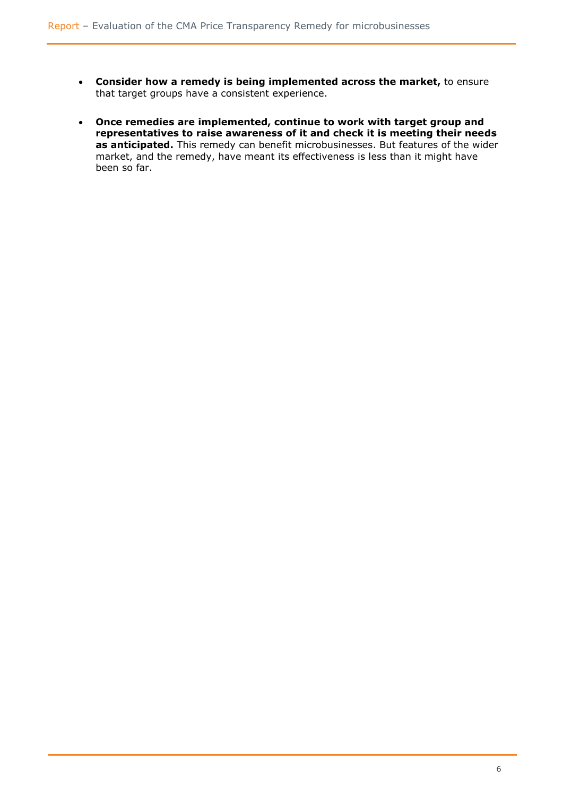- **Consider how a remedy is being implemented across the market,** to ensure that target groups have a consistent experience.
- **Once remedies are implemented, continue to work with target group and representatives to raise awareness of it and check it is meeting their needs as anticipated.** This remedy can benefit microbusinesses. But features of the wider market, and the remedy, have meant its effectiveness is less than it might have been so far.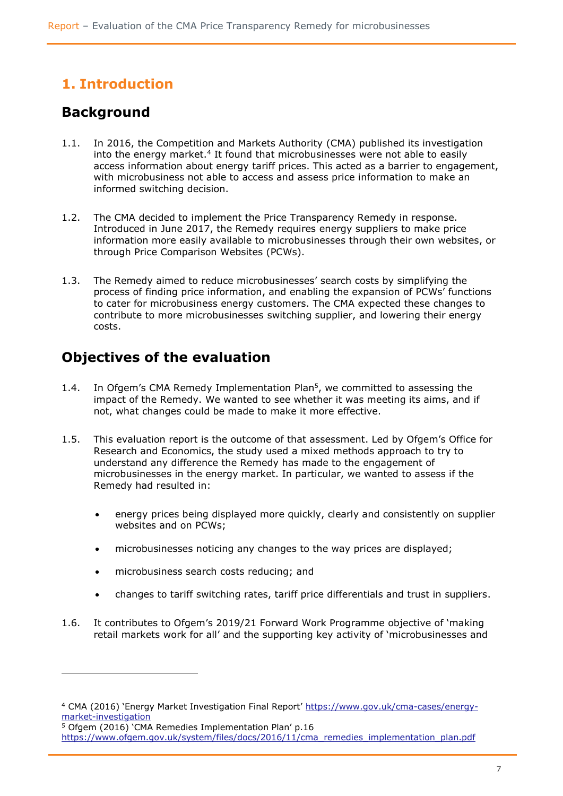# <span id="page-6-0"></span>**1. Introduction**

### **Background**

ł

- 1.1. In 2016, the Competition and Markets Authority (CMA) published its investigation into the energy market. $4$  It found that microbusinesses were not able to easily access information about energy tariff prices. This acted as a barrier to engagement, with microbusiness not able to access and assess price information to make an informed switching decision.
- 1.2. The CMA decided to implement the Price Transparency Remedy in response. Introduced in June 2017, the Remedy requires energy suppliers to make price information more easily available to microbusinesses through their own websites, or through Price Comparison Websites (PCWs).
- 1.3. The Remedy aimed to reduce microbusinesses' search costs by simplifying the process of finding price information, and enabling the expansion of PCWs' functions to cater for microbusiness energy customers. The CMA expected these changes to contribute to more microbusinesses switching supplier, and lowering their energy costs.

### **Objectives of the evaluation**

- 1.4. In Ofgem's CMA Remedy Implementation Plan<sup>5</sup>, we committed to assessing the impact of the Remedy. We wanted to see whether it was meeting its aims, and if not, what changes could be made to make it more effective.
- 1.5. This evaluation report is the outcome of that assessment. Led by Ofgem's Office for Research and Economics, the study used a mixed methods approach to try to understand any difference the Remedy has made to the engagement of microbusinesses in the energy market. In particular, we wanted to assess if the Remedy had resulted in:
	- energy prices being displayed more quickly, clearly and consistently on supplier websites and on PCWs;
	- microbusinesses noticing any changes to the way prices are displayed;
	- microbusiness search costs reducing; and
	- changes to tariff switching rates, tariff price differentials and trust in suppliers.
- 1.6. It contributes to Ofgem's 2019/21 Forward Work Programme objective of 'making retail markets work for all' and the supporting key activity of 'microbusinesses and

<sup>4</sup> CMA (2016) 'Energy Market Investigation Final Report' [https://www.gov.uk/cma-cases/energy](https://www.gov.uk/cma-cases/energy-market-investigation)[market-investigation](https://www.gov.uk/cma-cases/energy-market-investigation)

 $\overline{5}$  Ofgem (2016) 'CMA Remedies Implementation Plan' p.16 [https://www.ofgem.gov.uk/system/files/docs/2016/11/cma\\_remedies\\_implementation\\_plan.pdf](https://www.ofgem.gov.uk/system/files/docs/2016/11/cma_remedies_implementation_plan.pdf)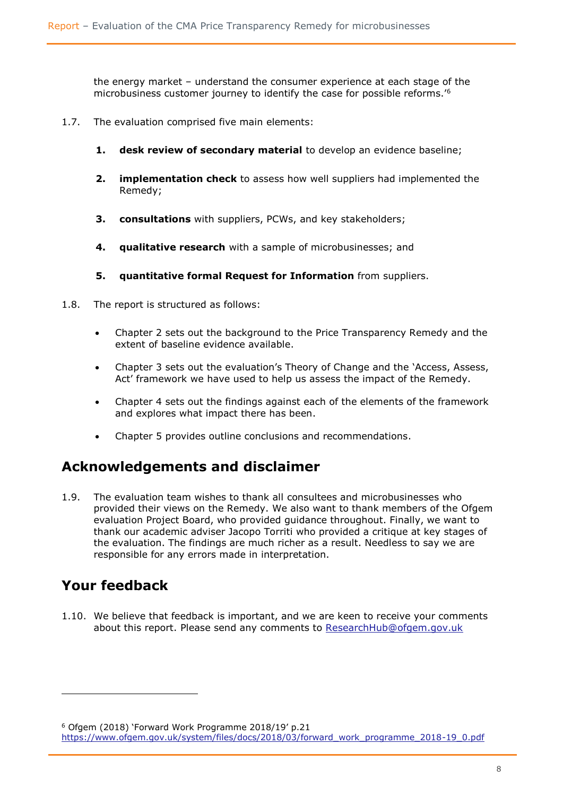the energy market – understand the consumer experience at each stage of the microbusiness customer journey to identify the case for possible reforms.'<sup>6</sup>

- 1.7. The evaluation comprised five main elements:
	- **1. desk review of secondary material** to develop an evidence baseline;
	- **2. implementation check** to assess how well suppliers had implemented the Remedy;
	- **3. consultations** with suppliers, PCWs, and key stakeholders;
	- **4. qualitative research** with a sample of microbusinesses; and
	- **5. quantitative formal Request for Information** from suppliers.
- 1.8. The report is structured as follows:
	- Chapter 2 sets out the background to the Price Transparency Remedy and the extent of baseline evidence available.
	- Chapter 3 sets out the evaluation's Theory of Change and the 'Access, Assess, Act' framework we have used to help us assess the impact of the Remedy.
	- Chapter 4 sets out the findings against each of the elements of the framework and explores what impact there has been.
	- Chapter 5 provides outline conclusions and recommendations.

### **Acknowledgements and disclaimer**

1.9. The evaluation team wishes to thank all consultees and microbusinesses who provided their views on the Remedy. We also want to thank members of the Ofgem evaluation Project Board, who provided guidance throughout. Finally, we want to thank our academic adviser Jacopo Torriti who provided a critique at key stages of the evaluation. The findings are much richer as a result. Needless to say we are responsible for any errors made in interpretation.

### **Your feedback**

l

1.10. We believe that feedback is important, and we are keen to receive your comments about this report. Please send any comments to [ResearchHub@ofgem.gov.uk](mailto:ResearchHub@ofgem.gov.uk)

<sup>6</sup> Ofgem (2018) 'Forward Work Programme 2018/19' p.21 [https://www.ofgem.gov.uk/system/files/docs/2018/03/forward\\_work\\_programme\\_2018-19\\_0.pdf](https://www.ofgem.gov.uk/system/files/docs/2018/03/forward_work_programme_2018-19_0.pdf)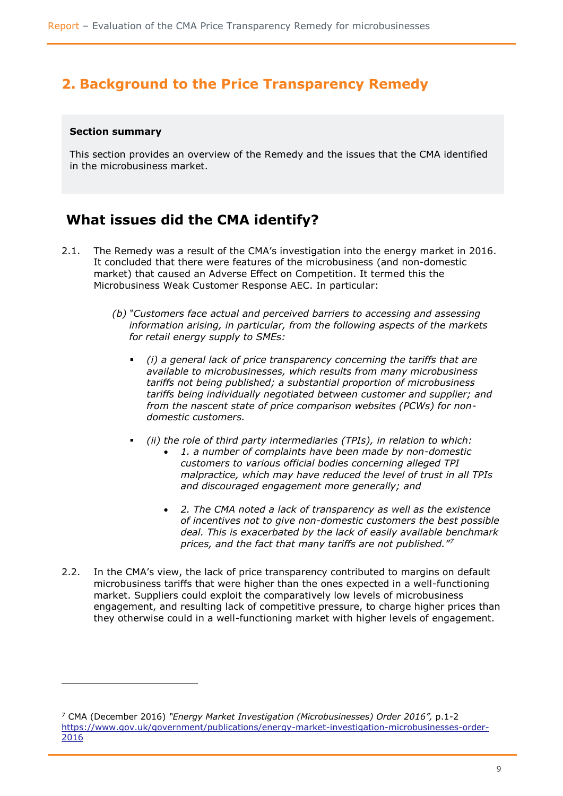### <span id="page-8-0"></span>**2. Background to the Price Transparency Remedy**

#### **Section summary**

l

This section provides an overview of the Remedy and the issues that the CMA identified in the microbusiness market.

### **What issues did the CMA identify?**

- 2.1. The Remedy was a result of the CMA's investigation into the energy market in 2016. It concluded that there were features of the microbusiness (and non-domestic market) that caused an Adverse Effect on Competition. It termed this the Microbusiness Weak Customer Response AEC. In particular:
	- *(b) "Customers face actual and perceived barriers to accessing and assessing information arising, in particular, from the following aspects of the markets for retail energy supply to SMEs:* 
		- *(i) a general lack of price transparency concerning the tariffs that are available to microbusinesses, which results from many microbusiness tariffs not being published; a substantial proportion of microbusiness tariffs being individually negotiated between customer and supplier; and from the nascent state of price comparison websites (PCWs) for nondomestic customers.*
		- *(ii) the role of third party intermediaries (TPIs), in relation to which:* 
			- *1. a number of complaints have been made by non-domestic customers to various official bodies concerning alleged TPI malpractice, which may have reduced the level of trust in all TPIs and discouraged engagement more generally; and*
			- *2. The CMA noted a lack of transparency as well as the existence of incentives not to give non-domestic customers the best possible deal. This is exacerbated by the lack of easily available benchmark prices, and the fact that many tariffs are not published."<sup>7</sup>*
- 2.2. In the CMA's view, the lack of price transparency contributed to margins on default microbusiness tariffs that were higher than the ones expected in a well-functioning market. Suppliers could exploit the comparatively low levels of microbusiness engagement, and resulting lack of competitive pressure, to charge higher prices than they otherwise could in a well-functioning market with higher levels of engagement.

<sup>7</sup> CMA (December 2016) *"Energy Market Investigation (Microbusinesses) Order 2016",* p.1-2 [https://www.gov.uk/government/publications/energy-market-investigation-microbusinesses-order-](https://www.gov.uk/government/publications/energy-market-investigation-microbusinesses-order-2016)[2016](https://www.gov.uk/government/publications/energy-market-investigation-microbusinesses-order-2016)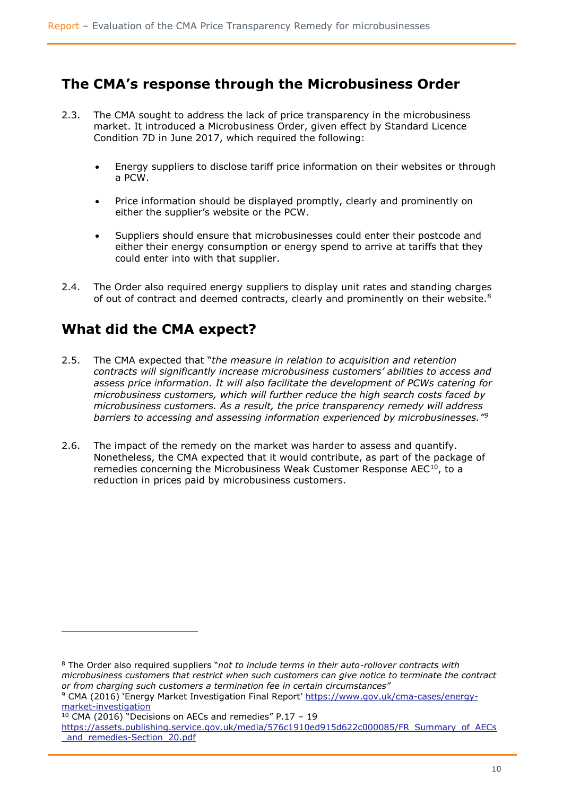### **The CMA's response through the Microbusiness Order**

- 2.3. The CMA sought to address the lack of price transparency in the microbusiness market. It introduced a Microbusiness Order, given effect by Standard Licence Condition 7D in June 2017, which required the following:
	- Energy suppliers to disclose tariff price information on their websites or through a PCW.
	- Price information should be displayed promptly, clearly and prominently on either the supplier's website or the PCW.
	- Suppliers should ensure that microbusinesses could enter their postcode and either their energy consumption or energy spend to arrive at tariffs that they could enter into with that supplier.
- 2.4. The Order also required energy suppliers to display unit rates and standing charges of out of contract and deemed contracts, clearly and prominently on their website.<sup>8</sup>

### **What did the CMA expect?**

- 2.5. The CMA expected that "*the measure in relation to acquisition and retention contracts will significantly increase microbusiness customers' abilities to access and assess price information. It will also facilitate the development of PCWs catering for microbusiness customers, which will further reduce the high search costs faced by microbusiness customers. As a result, the price transparency remedy will address barriers to accessing and assessing information experienced by microbusinesses."<sup>9</sup>*
- 2.6. The impact of the remedy on the market was harder to assess and quantify. Nonetheless, the CMA expected that it would contribute, as part of the package of remedies concerning the Microbusiness Weak Customer Response AEC<sup>10</sup>, to a reduction in prices paid by microbusiness customers.

l

<sup>8</sup> The Order also required suppliers "*not to include terms in their auto-rollover contracts with microbusiness customers that restrict when such customers can give notice to terminate the contract or from charging such customers a termination fee in certain circumstances"*

<sup>&</sup>lt;sup>9</sup> CMA (2016) 'Energy Market Investigation Final Report' [https://www.gov.uk/cma-cases/energy](https://www.gov.uk/cma-cases/energy-market-investigation)[market-investigation](https://www.gov.uk/cma-cases/energy-market-investigation)

 $10$  CMA (2016) "Decisions on AECs and remedies" P.17 - 19

[https://assets.publishing.service.gov.uk/media/576c1910ed915d622c000085/FR\\_Summary\\_of\\_AECs](https://assets.publishing.service.gov.uk/media/576c1910ed915d622c000085/FR_Summary_of_AECs_and_remedies-Section_20.pdf) and remedies-Section 20.pdf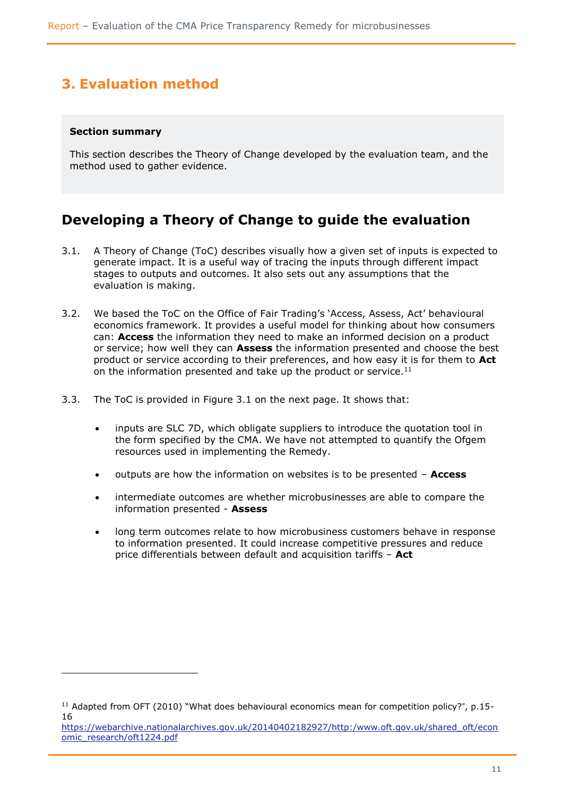# <span id="page-10-0"></span>**3. Evaluation method**

#### **Section summary**

ł

This section describes the Theory of Change developed by the evaluation team, and the method used to gather evidence.

### **Developing a Theory of Change to guide the evaluation**

- 3.1. A Theory of Change (ToC) describes visually how a given set of inputs is expected to generate impact. It is a useful way of tracing the inputs through different impact stages to outputs and outcomes. It also sets out any assumptions that the evaluation is making.
- 3.2. We based the ToC on the Office of Fair Trading's 'Access, Assess, Act' behavioural economics framework. It provides a useful model for thinking about how consumers can: **Access** the information they need to make an informed decision on a product or service; how well they can **Assess** the information presented and choose the best product or service according to their preferences, and how easy it is for them to **Act**  on the information presented and take up the product or service.<sup>11</sup>
- 3.3. The ToC is provided in Figure 3.1 on the next page. It shows that:
	- inputs are SLC 7D, which obligate suppliers to introduce the quotation tool in the form specified by the CMA. We have not attempted to quantify the Ofgem resources used in implementing the Remedy.
	- outputs are how the information on websites is to be presented **Access**
	- intermediate outcomes are whether microbusinesses are able to compare the information presented - **Assess**
	- long term outcomes relate to how microbusiness customers behave in response to information presented. It could increase competitive pressures and reduce price differentials between default and acquisition tariffs – **Act**

<sup>&</sup>lt;sup>11</sup> Adapted from OFT (2010) "What does behavioural economics mean for competition policy?", p.15-16

[https://webarchive.nationalarchives.gov.uk/20140402182927/http:/www.oft.gov.uk/shared\\_oft/econ](https://webarchive.nationalarchives.gov.uk/20140402182927/http:/www.oft.gov.uk/shared_oft/economic_research/oft1224.pdf) [omic\\_research/oft1224.pdf](https://webarchive.nationalarchives.gov.uk/20140402182927/http:/www.oft.gov.uk/shared_oft/economic_research/oft1224.pdf)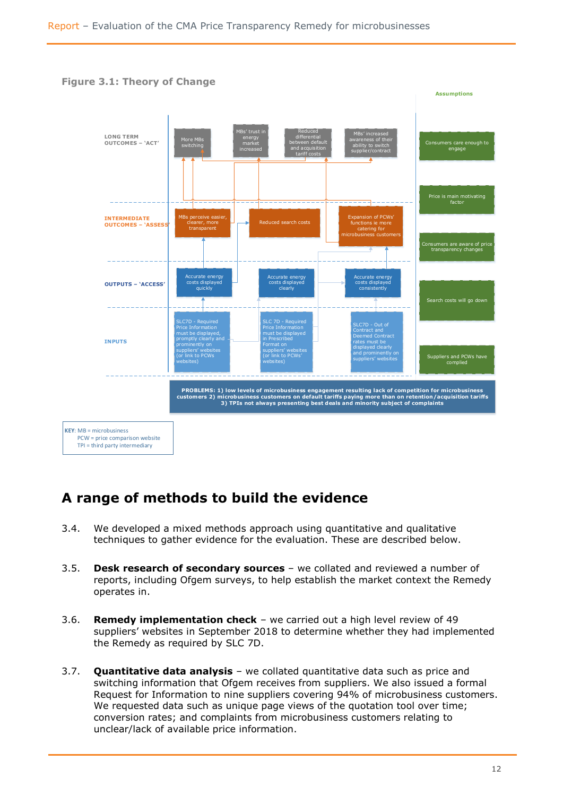

# **A range of methods to build the evidence**

- 3.4. We developed a mixed methods approach using quantitative and qualitative techniques to gather evidence for the evaluation. These are described below.
- 3.5. **Desk research of secondary sources** we collated and reviewed a number of reports, including Ofgem surveys, to help establish the market context the Remedy operates in.
- 3.6. **Remedy implementation check** we carried out a high level review of 49 suppliers' websites in September 2018 to determine whether they had implemented the Remedy as required by SLC 7D.
- 3.7. **Quantitative data analysis** we collated quantitative data such as price and switching information that Ofgem receives from suppliers. We also issued a formal Request for Information to nine suppliers covering 94% of microbusiness customers. We requested data such as unique page views of the quotation tool over time; conversion rates; and complaints from microbusiness customers relating to unclear/lack of available price information.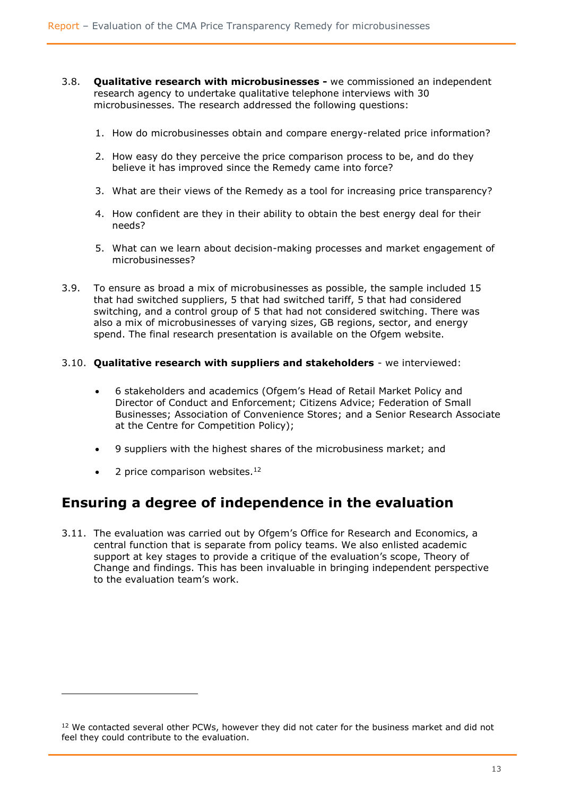- 3.8. **Qualitative research with microbusinesses -** we commissioned an independent research agency to undertake qualitative telephone interviews with 30 microbusinesses. The research addressed the following questions:
	- 1. How do microbusinesses obtain and compare energy-related price information?
	- 2. How easy do they perceive the price comparison process to be, and do they believe it has improved since the Remedy came into force?
	- 3. What are their views of the Remedy as a tool for increasing price transparency?
	- 4. How confident are they in their ability to obtain the best energy deal for their needs?
	- 5. What can we learn about decision-making processes and market engagement of microbusinesses?
- 3.9. To ensure as broad a mix of microbusinesses as possible, the sample included 15 that had switched suppliers, 5 that had switched tariff, 5 that had considered switching, and a control group of 5 that had not considered switching. There was also a mix of microbusinesses of varying sizes, GB regions, sector, and energy spend. The final research presentation is available on the Ofgem website.

#### 3.10. **Qualitative research with suppliers and stakeholders** - we interviewed:

- 6 stakeholders and academics (Ofgem's Head of Retail Market Policy and Director of Conduct and Enforcement; Citizens Advice; Federation of Small Businesses; Association of Convenience Stores; and a Senior Research Associate at the Centre for Competition Policy);
- 9 suppliers with the highest shares of the microbusiness market; and
- 2 price comparison websites.<sup>12</sup>

l

### **Ensuring a degree of independence in the evaluation**

3.11. The evaluation was carried out by Ofgem's Office for Research and Economics, a central function that is separate from policy teams. We also enlisted academic support at key stages to provide a critique of the evaluation's scope, Theory of Change and findings. This has been invaluable in bringing independent perspective to the evaluation team's work.

<sup>&</sup>lt;sup>12</sup> We contacted several other PCWs, however they did not cater for the business market and did not feel they could contribute to the evaluation.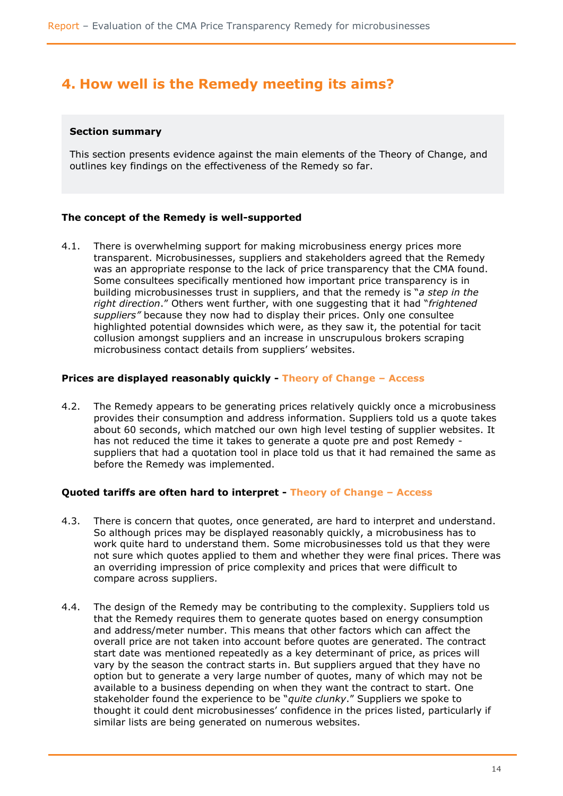### <span id="page-13-0"></span>**4. How well is the Remedy meeting its aims?**

#### **Section summary**

This section presents evidence against the main elements of the Theory of Change, and outlines key findings on the effectiveness of the Remedy so far.

#### **The concept of the Remedy is well-supported**

4.1. There is overwhelming support for making microbusiness energy prices more transparent. Microbusinesses, suppliers and stakeholders agreed that the Remedy was an appropriate response to the lack of price transparency that the CMA found. Some consultees specifically mentioned how important price transparency is in building microbusinesses trust in suppliers, and that the remedy is "*a step in the right direction*." Others went further, with one suggesting that it had "*frightened suppliers"* because they now had to display their prices. Only one consultee highlighted potential downsides which were, as they saw it, the potential for tacit collusion amongst suppliers and an increase in unscrupulous brokers scraping microbusiness contact details from suppliers' websites.

#### **Prices are displayed reasonably quickly - Theory of Change – Access**

4.2. The Remedy appears to be generating prices relatively quickly once a microbusiness provides their consumption and address information. Suppliers told us a quote takes about 60 seconds, which matched our own high level testing of supplier websites. It has not reduced the time it takes to generate a quote pre and post Remedy suppliers that had a quotation tool in place told us that it had remained the same as before the Remedy was implemented.

#### **Quoted tariffs are often hard to interpret - Theory of Change – Access**

- 4.3. There is concern that quotes, once generated, are hard to interpret and understand. So although prices may be displayed reasonably quickly, a microbusiness has to work quite hard to understand them. Some microbusinesses told us that they were not sure which quotes applied to them and whether they were final prices. There was an overriding impression of price complexity and prices that were difficult to compare across suppliers.
- 4.4. The design of the Remedy may be contributing to the complexity. Suppliers told us that the Remedy requires them to generate quotes based on energy consumption and address/meter number. This means that other factors which can affect the overall price are not taken into account before quotes are generated. The contract start date was mentioned repeatedly as a key determinant of price, as prices will vary by the season the contract starts in. But suppliers argued that they have no option but to generate a very large number of quotes, many of which may not be available to a business depending on when they want the contract to start. One stakeholder found the experience to be "*quite clunky*." Suppliers we spoke to thought it could dent microbusinesses' confidence in the prices listed, particularly if similar lists are being generated on numerous websites.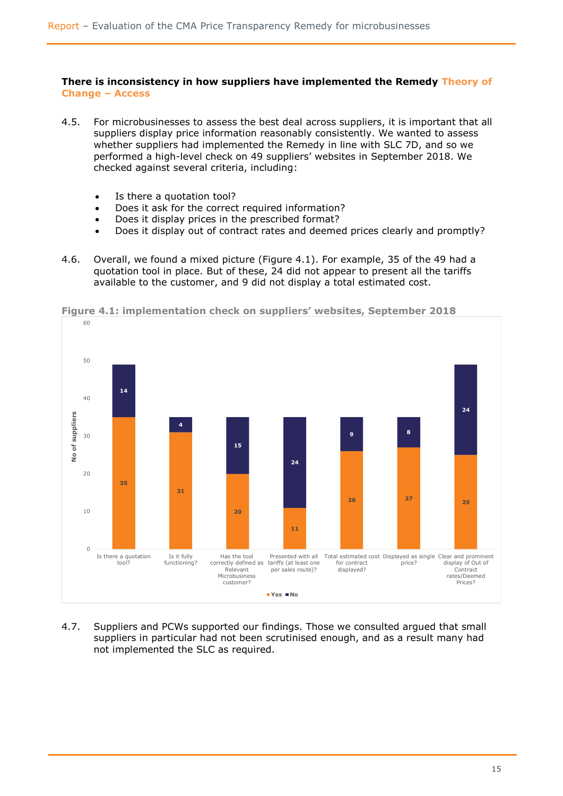#### **There is inconsistency in how suppliers have implemented the Remedy Theory of Change – Access**

- 4.5. For microbusinesses to assess the best deal across suppliers, it is important that all suppliers display price information reasonably consistently. We wanted to assess whether suppliers had implemented the Remedy in line with SLC 7D, and so we performed a high-level check on 49 suppliers' websites in September 2018. We checked against several criteria, including:
	- Is there a quotation tool?
	- Does it ask for the correct required information?
	- Does it display prices in the prescribed format?
	- Does it display out of contract rates and deemed prices clearly and promptly?
- 4.6. Overall, we found a mixed picture (Figure 4.1). For example, 35 of the 49 had a quotation tool in place. But of these, 24 did not appear to present all the tariffs available to the customer, and 9 did not display a total estimated cost.



**Figure 4.1: implementation check on suppliers' websites, September 2018**

4.7. Suppliers and PCWs supported our findings. Those we consulted argued that small suppliers in particular had not been scrutinised enough, and as a result many had not implemented the SLC as required.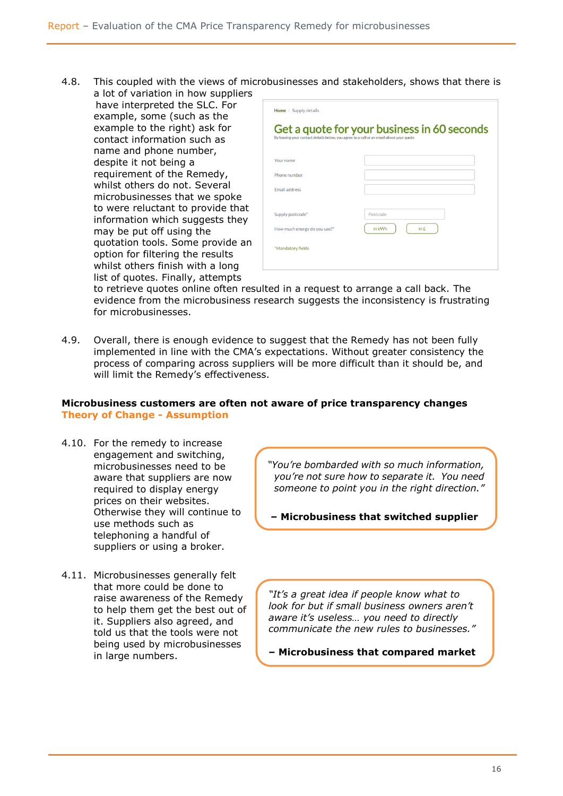- 4.8. This coupled with the views of microbusinesses and stakeholders, shows that there is a lot of variation in how suppliers
	- have interpreted the SLC. For example, some (such as the example to the right) ask for contact information such as name and phone number, despite it not being a requirement of the Remedy, whilst others do not. Several microbusinesses that we spoke to were reluctant to provide that information which suggests they may be put off using the quotation tools. Some provide an option for filtering the results whilst others finish with a long list of quotes. Finally, attempts

|                              | By leaving your contact details below, you agree to a call or an email about your quote |
|------------------------------|-----------------------------------------------------------------------------------------|
| Your name                    |                                                                                         |
| Phone number                 |                                                                                         |
| <b>Email address</b>         |                                                                                         |
| Supply postcode*             | Postcode                                                                                |
| How much energy do you use?* | in kWh<br>$\ln E$                                                                       |

to retrieve quotes online often resulted in a request to arrange a call back. The evidence from the microbusiness research suggests the inconsistency is frustrating for microbusinesses.

4.9. Overall, there is enough evidence to suggest that the Remedy has not been fully implemented in line with the CMA's expectations. Without greater consistency the process of comparing across suppliers will be more difficult than it should be, and will limit the Remedy's effectiveness.

#### **Microbusiness customers are often not aware of price transparency changes Theory of Change - Assumption**

- 4.10. For the remedy to increase engagement and switching, microbusinesses need to be aware that suppliers are now required to display energy prices on their websites. Otherwise they will continue to use methods such as telephoning a handful of suppliers or using a broker.
- 4.11. Microbusinesses generally felt that more could be done to raise awareness of the Remedy to help them get the best out of it. Suppliers also agreed, and told us that the tools were not being used by microbusinesses in large numbers.

*"You're bombarded with so much information, you're not sure how to separate it. You need someone to point you in the right direction."*

**– Microbusiness that switched supplier**

*"It's a great idea if people know what to look for but if small business owners aren't aware it's useless… you need to directly communicate the new rules to businesses."*

**– Microbusiness that compared market**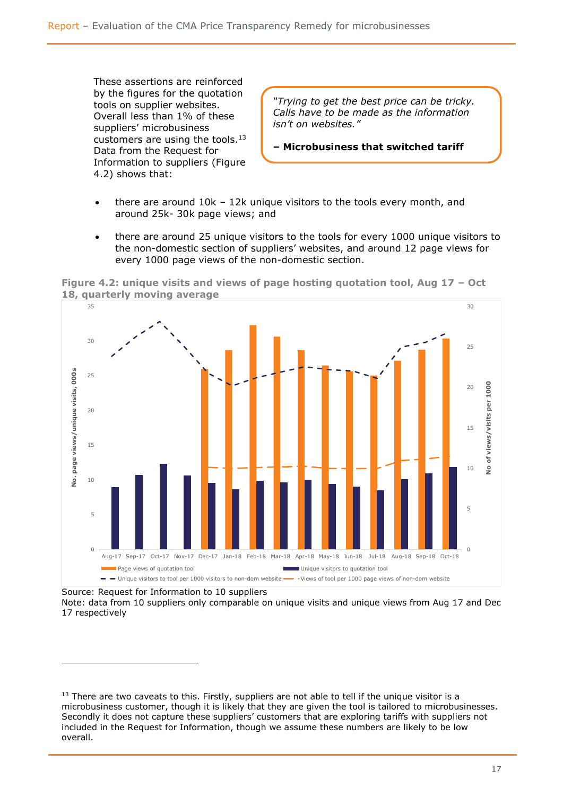These assertions are reinforced by the figures for the quotation tools on supplier websites. Overall less than 1% of these suppliers' microbusiness customers are using the tools.<sup>13</sup> Data from the Request for Information to suppliers (Figure 4.2) shows that:

*"Trying to get the best price can be tricky. Calls have to be made as the information isn't on websites."*

**– Microbusiness that switched tariff**

- there are around 10k 12k unique visitors to the tools every month, and around 25k- 30k page views; and
- there are around 25 unique visitors to the tools for every 1000 unique visitors to the non-domestic section of suppliers' websites, and around 12 page views for every 1000 page views of the non-domestic section.





Source: Request for Information to 10 suppliers

ł

Note: data from 10 suppliers only comparable on unique visits and unique views from Aug 17 and Dec 17 respectively

 $13$  There are two caveats to this. Firstly, suppliers are not able to tell if the unique visitor is a microbusiness customer, though it is likely that they are given the tool is tailored to microbusinesses. Secondly it does not capture these suppliers' customers that are exploring tariffs with suppliers not included in the Request for Information, though we assume these numbers are likely to be low overall.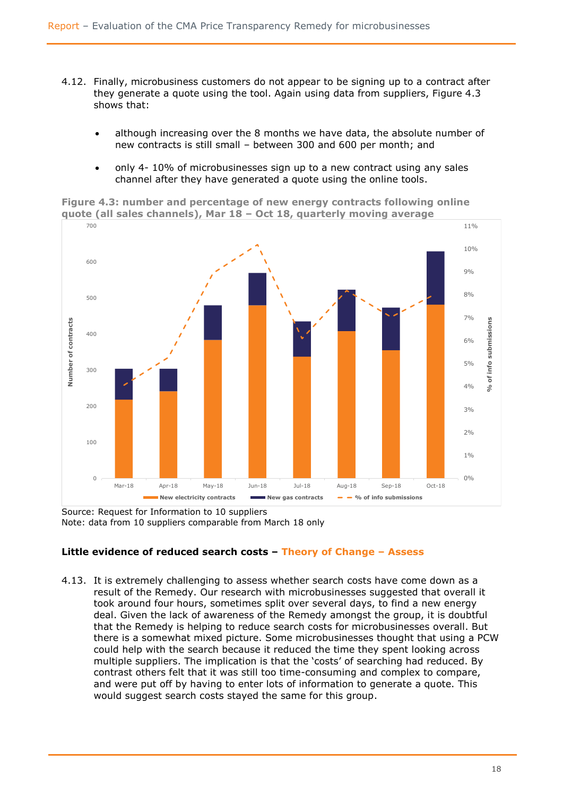- 4.12. Finally, microbusiness customers do not appear to be signing up to a contract after they generate a quote using the tool. Again using data from suppliers, Figure 4.3 shows that:
	- although increasing over the 8 months we have data, the absolute number of new contracts is still small – between 300 and 600 per month; and
	- only 4- 10% of microbusinesses sign up to a new contract using any sales channel after they have generated a quote using the online tools.

**Figure 4.3: number and percentage of new energy contracts following online quote (all sales channels), Mar 18 – Oct 18, quarterly moving average**



Source: Request for Information to 10 suppliers Note: data from 10 suppliers comparable from March 18 only

#### **Little evidence of reduced search costs – Theory of Change – Assess**

4.13. It is extremely challenging to assess whether search costs have come down as a result of the Remedy. Our research with microbusinesses suggested that overall it took around four hours, sometimes split over several days, to find a new energy deal. Given the lack of awareness of the Remedy amongst the group, it is doubtful that the Remedy is helping to reduce search costs for microbusinesses overall. But there is a somewhat mixed picture. Some microbusinesses thought that using a PCW could help with the search because it reduced the time they spent looking across multiple suppliers. The implication is that the 'costs' of searching had reduced. By contrast others felt that it was still too time-consuming and complex to compare, and were put off by having to enter lots of information to generate a quote. This would suggest search costs stayed the same for this group.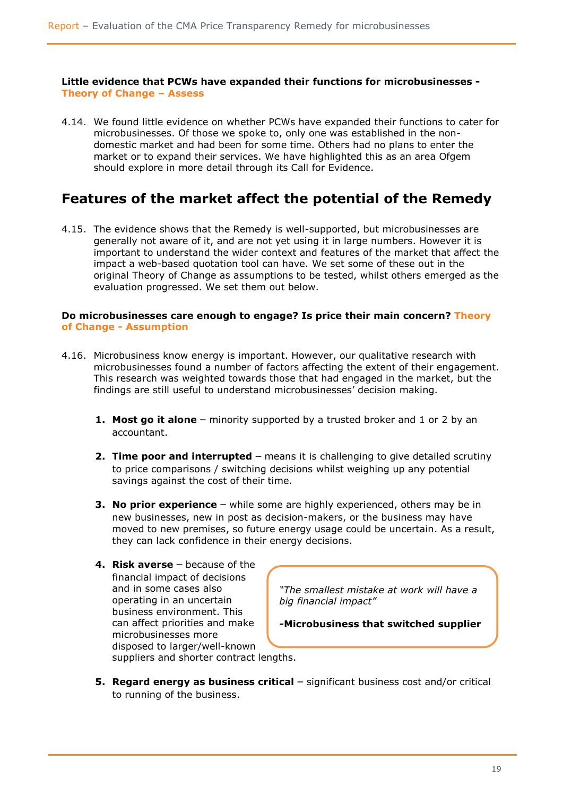**Little evidence that PCWs have expanded their functions for microbusinesses - Theory of Change – Assess**

4.14. We found little evidence on whether PCWs have expanded their functions to cater for microbusinesses. Of those we spoke to, only one was established in the nondomestic market and had been for some time. Others had no plans to enter the market or to expand their services. We have highlighted this as an area Ofgem should explore in more detail through its Call for Evidence.

### **Features of the market affect the potential of the Remedy**

4.15. The evidence shows that the Remedy is well-supported, but microbusinesses are generally not aware of it, and are not yet using it in large numbers. However it is important to understand the wider context and features of the market that affect the impact a web-based quotation tool can have. We set some of these out in the original Theory of Change as assumptions to be tested, whilst others emerged as the evaluation progressed. We set them out below.

#### **Do microbusinesses care enough to engage? Is price their main concern? Theory of Change - Assumption**

- 4.16. Microbusiness know energy is important. However, our qualitative research with microbusinesses found a number of factors affecting the extent of their engagement. This research was weighted towards those that had engaged in the market, but the findings are still useful to understand microbusinesses' decision making.
	- **1. Most go it alone** minority supported by a trusted broker and 1 or 2 by an accountant.
	- **2. Time poor and interrupted** means it is challenging to give detailed scrutiny to price comparisons / switching decisions whilst weighing up any potential savings against the cost of their time.
	- **3. No prior experience** while some are highly experienced, others may be in new businesses, new in post as decision-makers, or the business may have moved to new premises, so future energy usage could be uncertain. As a result, they can lack confidence in their energy decisions.
	- **4. Risk averse** because of the financial impact of decisions and in some cases also operating in an uncertain business environment. This can affect priorities and make microbusinesses more disposed to larger/well-known suppliers and shorter contract lengths.

*"The smallest mistake at work will have a big financial impact"*

*-***Microbusiness that switched supplier**

- 
- **5. Regard energy as business critical** significant business cost and/or critical to running of the business.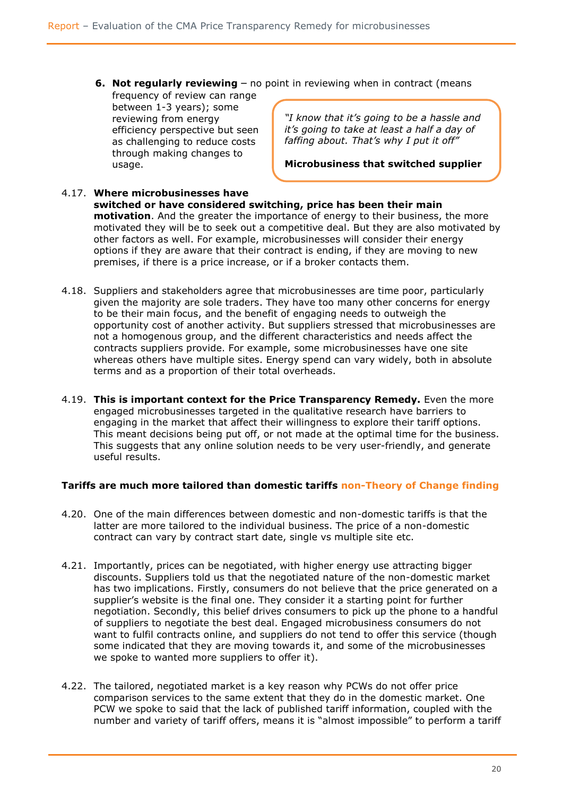**6. Not regularly reviewing** – no point in reviewing when in contract (means

frequency of review can range between 1-3 years); some reviewing from energy efficiency perspective but seen as challenging to reduce costs through making changes to usage.

*"I know that it's going to be a hassle and it's going to take at least a half a day of faffing about. That's why I put it off"*

**Microbusiness that switched supplier**

- 4.17. **Where microbusinesses have switched or have considered switching, price has been their main motivation**. And the greater the importance of energy to their business, the more motivated they will be to seek out a competitive deal. But they are also motivated by other factors as well. For example, microbusinesses will consider their energy options if they are aware that their contract is ending, if they are moving to new premises, if there is a price increase, or if a broker contacts them.
- 4.18. Suppliers and stakeholders agree that microbusinesses are time poor, particularly given the majority are sole traders. They have too many other concerns for energy to be their main focus, and the benefit of engaging needs to outweigh the opportunity cost of another activity. But suppliers stressed that microbusinesses are not a homogenous group, and the different characteristics and needs affect the contracts suppliers provide. For example, some microbusinesses have one site whereas others have multiple sites. Energy spend can vary widely, both in absolute terms and as a proportion of their total overheads.
- 4.19. **This is important context for the Price Transparency Remedy.** Even the more engaged microbusinesses targeted in the qualitative research have barriers to engaging in the market that affect their willingness to explore their tariff options. This meant decisions being put off, or not made at the optimal time for the business. This suggests that any online solution needs to be very user-friendly, and generate useful results.

#### **Tariffs are much more tailored than domestic tariffs non-Theory of Change finding**

- 4.20. One of the main differences between domestic and non-domestic tariffs is that the latter are more tailored to the individual business. The price of a non-domestic contract can vary by contract start date, single vs multiple site etc.
- 4.21. Importantly, prices can be negotiated, with higher energy use attracting bigger discounts. Suppliers told us that the negotiated nature of the non-domestic market has two implications. Firstly, consumers do not believe that the price generated on a supplier's website is the final one. They consider it a starting point for further negotiation. Secondly, this belief drives consumers to pick up the phone to a handful of suppliers to negotiate the best deal. Engaged microbusiness consumers do not want to fulfil contracts online, and suppliers do not tend to offer this service (though some indicated that they are moving towards it, and some of the microbusinesses we spoke to wanted more suppliers to offer it).
- 4.22. The tailored, negotiated market is a key reason why PCWs do not offer price comparison services to the same extent that they do in the domestic market. One PCW we spoke to said that the lack of published tariff information, coupled with the number and variety of tariff offers, means it is "almost impossible" to perform a tariff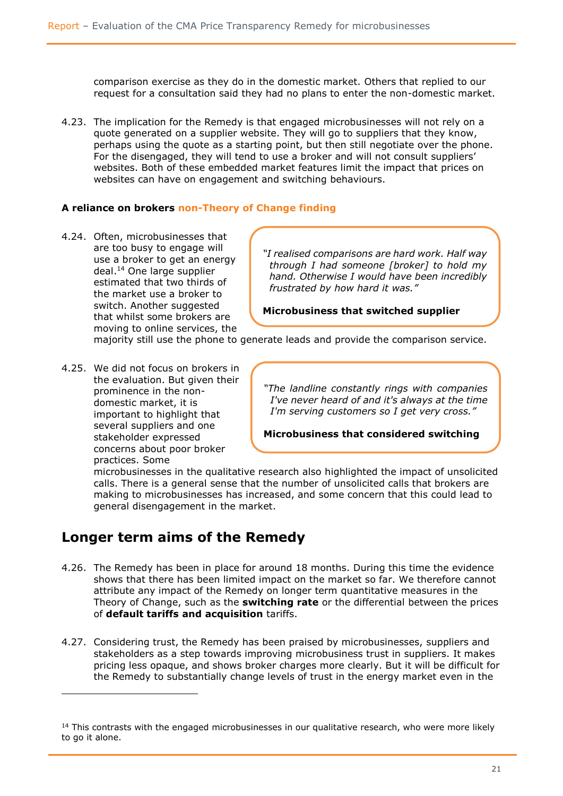comparison exercise as they do in the domestic market. Others that replied to our request for a consultation said they had no plans to enter the non-domestic market.

4.23. The implication for the Remedy is that engaged microbusinesses will not rely on a quote generated on a supplier website. They will go to suppliers that they know, perhaps using the quote as a starting point, but then still negotiate over the phone. For the disengaged, they will tend to use a broker and will not consult suppliers' websites. Both of these embedded market features limit the impact that prices on websites can have on engagement and switching behaviours.

#### **A reliance on brokers non-Theory of Change finding**

4.24. Often, microbusinesses that are too busy to engage will use a broker to get an energy deal.<sup>14</sup> One large supplier estimated that two thirds of the market use a broker to switch. Another suggested that whilst some brokers are moving to online services, the

*"I realised comparisons are hard work. Half way through I had someone [broker] to hold my hand. Otherwise I would have been incredibly frustrated by how hard it was."*

#### **Microbusiness that switched supplier**

majority still use the phone to generate leads and provide the comparison service.

4.25. We did not focus on brokers in the evaluation. But given their prominence in the nondomestic market, it is important to highlight that several suppliers and one stakeholder expressed concerns about poor broker practices. Some

l

*"The landline constantly rings with companies I've never heard of and it's always at the time I'm serving customers so I get very cross."*

**Microbusiness that considered switching**

microbusinesses in the qualitative research also highlighted the impact of unsolicited calls. There is a general sense that the number of unsolicited calls that brokers are making to microbusinesses has increased, and some concern that this could lead to general disengagement in the market.

### **Longer term aims of the Remedy**

- 4.26. The Remedy has been in place for around 18 months. During this time the evidence shows that there has been limited impact on the market so far. We therefore cannot attribute any impact of the Remedy on longer term quantitative measures in the Theory of Change, such as the **switching rate** or the differential between the prices of **default tariffs and acquisition** tariffs.
- 4.27. Considering trust, the Remedy has been praised by microbusinesses, suppliers and stakeholders as a step towards improving microbusiness trust in suppliers. It makes pricing less opaque, and shows broker charges more clearly. But it will be difficult for the Remedy to substantially change levels of trust in the energy market even in the

 $<sup>14</sup>$  This contrasts with the engaged microbusinesses in our qualitative research, who were more likely</sup> to go it alone.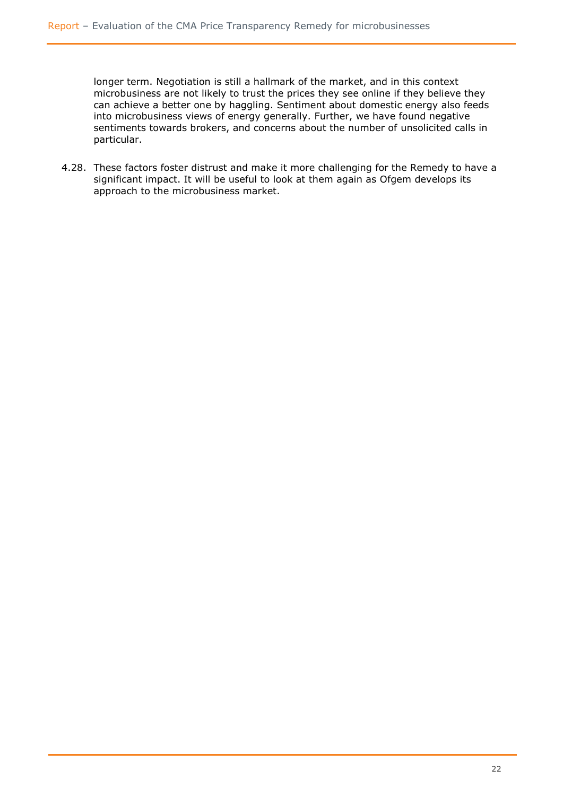longer term. Negotiation is still a hallmark of the market, and in this context microbusiness are not likely to trust the prices they see online if they believe they can achieve a better one by haggling. Sentiment about domestic energy also feeds into microbusiness views of energy generally. Further, we have found negative sentiments towards brokers, and concerns about the number of unsolicited calls in particular.

4.28. These factors foster distrust and make it more challenging for the Remedy to have a significant impact. It will be useful to look at them again as Ofgem develops its approach to the microbusiness market.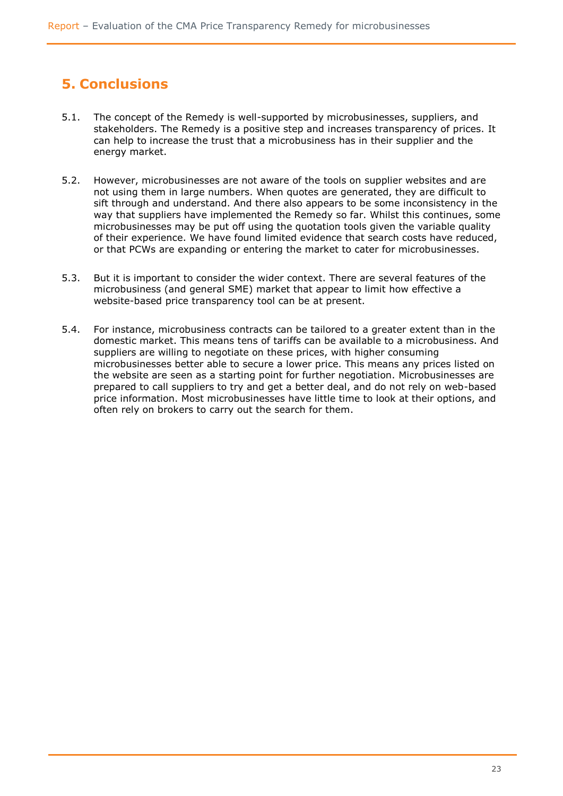# <span id="page-22-0"></span>**5. Conclusions**

- 5.1. The concept of the Remedy is well-supported by microbusinesses, suppliers, and stakeholders. The Remedy is a positive step and increases transparency of prices. It can help to increase the trust that a microbusiness has in their supplier and the energy market.
- 5.2. However, microbusinesses are not aware of the tools on supplier websites and are not using them in large numbers. When quotes are generated, they are difficult to sift through and understand. And there also appears to be some inconsistency in the way that suppliers have implemented the Remedy so far. Whilst this continues, some microbusinesses may be put off using the quotation tools given the variable quality of their experience. We have found limited evidence that search costs have reduced, or that PCWs are expanding or entering the market to cater for microbusinesses.
- 5.3. But it is important to consider the wider context. There are several features of the microbusiness (and general SME) market that appear to limit how effective a website-based price transparency tool can be at present.
- 5.4. For instance, microbusiness contracts can be tailored to a greater extent than in the domestic market. This means tens of tariffs can be available to a microbusiness. And suppliers are willing to negotiate on these prices, with higher consuming microbusinesses better able to secure a lower price. This means any prices listed on the website are seen as a starting point for further negotiation. Microbusinesses are prepared to call suppliers to try and get a better deal, and do not rely on web-based price information. Most microbusinesses have little time to look at their options, and often rely on brokers to carry out the search for them.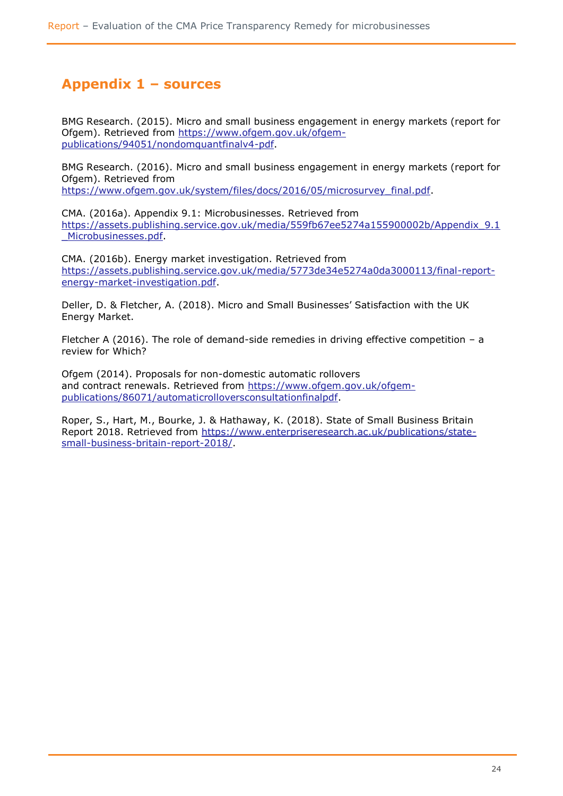### <span id="page-23-0"></span>**Appendix 1 – sources**

BMG Research. (2015). Micro and small business engagement in energy markets (report for Ofgem). Retrieved from [https://www.ofgem.gov.uk/ofgem](https://www.ofgem.gov.uk/ofgem-publications/94051/nondomquantfinalv4-pdf)[publications/94051/nondomquantfinalv4-pdf.](https://www.ofgem.gov.uk/ofgem-publications/94051/nondomquantfinalv4-pdf)

BMG Research. (2016). Micro and small business engagement in energy markets (report for Ofgem). Retrieved from

[https://www.ofgem.gov.uk/system/files/docs/2016/05/microsurvey\\_final.pdf.](https://www.ofgem.gov.uk/system/files/docs/2016/05/microsurvey_final.pdf)

CMA. (2016a). Appendix 9.1: Microbusinesses. Retrieved from [https://assets.publishing.service.gov.uk/media/559fb67ee5274a155900002b/Appendix\\_9.1](https://assets.publishing.service.gov.uk/media/559fb67ee5274a155900002b/Appendix_9.1_Microbusinesses.pdf) [\\_Microbusinesses.pdf.](https://assets.publishing.service.gov.uk/media/559fb67ee5274a155900002b/Appendix_9.1_Microbusinesses.pdf)

CMA. (2016b). Energy market investigation. Retrieved from [https://assets.publishing.service.gov.uk/media/5773de34e5274a0da3000113/final-report](https://assets.publishing.service.gov.uk/media/5773de34e5274a0da3000113/final-report-energy-market-investigation.pdf)[energy-market-investigation.pdf.](https://assets.publishing.service.gov.uk/media/5773de34e5274a0da3000113/final-report-energy-market-investigation.pdf)

Deller, D. & Fletcher, A. (2018). Micro and Small Businesses' Satisfaction with the UK Energy Market.

Fletcher A (2016). The role of demand-side remedies in driving effective competition  $- a$ review for Which?

Ofgem (2014). Proposals for non-domestic automatic rollovers and contract renewals. Retrieved from [https://www.ofgem.gov.uk/ofgem](https://www.ofgem.gov.uk/ofgem-publications/86071/automaticrolloversconsultationfinalpdf)[publications/86071/automaticrolloversconsultationfinalpdf.](https://www.ofgem.gov.uk/ofgem-publications/86071/automaticrolloversconsultationfinalpdf)

Roper, S., Hart, M., Bourke, J. & Hathaway, K. (2018). State of Small Business Britain Report 2018. Retrieved from [https://www.enterpriseresearch.ac.uk/publications/state](https://www.enterpriseresearch.ac.uk/publications/state-small-business-britain-report-2018/)[small-business-britain-report-2018/.](https://www.enterpriseresearch.ac.uk/publications/state-small-business-britain-report-2018/)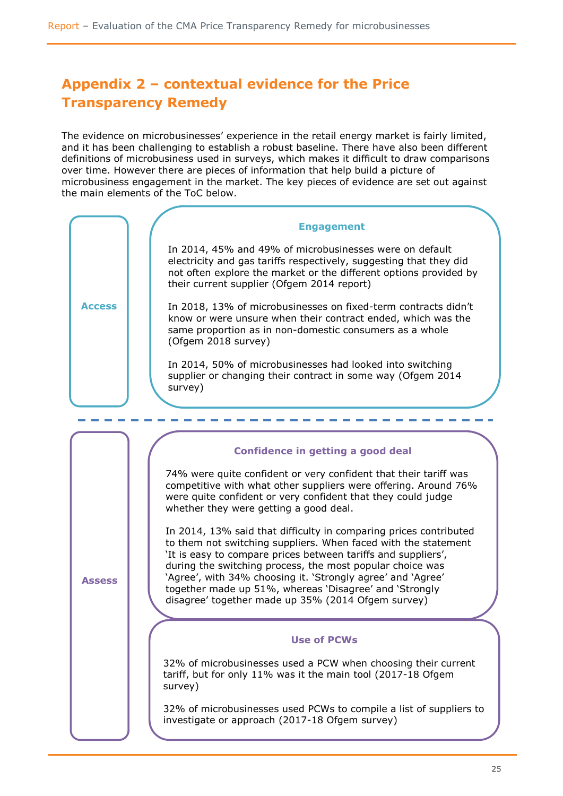# <span id="page-24-0"></span>**Appendix 2 – contextual evidence for the Price Transparency Remedy**

The evidence on microbusinesses' experience in the retail energy market is fairly limited, and it has been challenging to establish a robust baseline. There have also been different definitions of microbusiness used in surveys, which makes it difficult to draw comparisons over time. However there are pieces of information that help build a picture of microbusiness engagement in the market. The key pieces of evidence are set out against the main elements of the ToC below.